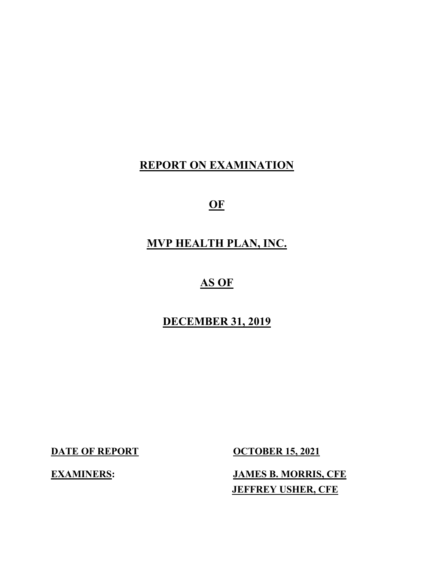# **REPORT ON EXAMINATION**

**OF**

# **MVP HEALTH PLAN, INC.**

# **AS OF**

# **DECEMBER 31, 2019**

**DATE OF REPORT COCTOBER 15, 2021** 

**EXAMINERS: JAMES B. MORRIS, CFE JEFFREY USHER, CFE**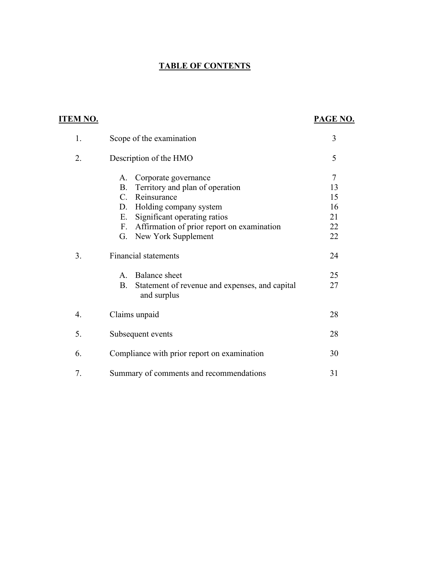## **TABLE OF CONTENTS**

| <b>ITEM NO.</b> |                                                                                                                                                                                                                                                                 | PAGE NO.                                   |
|-----------------|-----------------------------------------------------------------------------------------------------------------------------------------------------------------------------------------------------------------------------------------------------------------|--------------------------------------------|
| 1.              | Scope of the examination                                                                                                                                                                                                                                        | 3                                          |
| 2.              | Description of the HMO                                                                                                                                                                                                                                          | 5                                          |
|                 | Corporate governance<br>A.<br>Territory and plan of operation<br><b>B.</b><br>Reinsurance<br>$C_{\cdot}$<br>Holding company system<br>D.<br>Significant operating ratios<br>Ε.<br>Affirmation of prior report on examination<br>F.<br>New York Supplement<br>G. | $\tau$<br>13<br>15<br>16<br>21<br>22<br>22 |
| 3.              | Financial statements<br><b>Balance</b> sheet<br>$A_{\cdot}$<br><b>B.</b><br>Statement of revenue and expenses, and capital<br>and surplus                                                                                                                       | 24<br>25<br>27                             |
| 4.              | Claims unpaid                                                                                                                                                                                                                                                   | 28                                         |
| 5.              | Subsequent events                                                                                                                                                                                                                                               | 28                                         |
| 6.              | Compliance with prior report on examination                                                                                                                                                                                                                     | 30                                         |
| 7.              | Summary of comments and recommendations                                                                                                                                                                                                                         | 31                                         |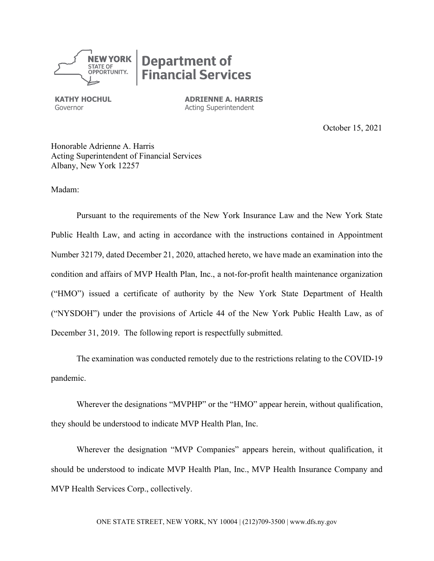

**KATHY HOCHUL ADRIENNE A. HARRIS** Governor **Acting Superintendent** 

October 15, 2021

Honorable Adrienne A. Harris Acting Superintendent of Financial Services Albany, New York 12257

Madam:

Pursuant to the requirements of the New York Insurance Law and the New York State Public Health Law, and acting in accordance with the instructions contained in Appointment Number 32179, dated December 21, 2020, attached hereto, we have made an examination into the condition and affairs of MVP Health Plan, Inc., a not-for-profit health maintenance organization ("HMO") issued a certificate of authority by the New York State Department of Health ("NYSDOH") under the provisions of Article 44 of the New York Public Health Law, as of December 31, 2019. The following report is respectfully submitted.

The examination was conducted remotely due to the restrictions relating to the COVID-19 pandemic.

Wherever the designations "MVPHP" or the "HMO" appear herein, without qualification, they should be understood to indicate MVP Health Plan, Inc.

Wherever the designation "MVP Companies" appears herein, without qualification, it should be understood to indicate MVP Health Plan, Inc., MVP Health Insurance Company and MVP Health Services Corp., collectively.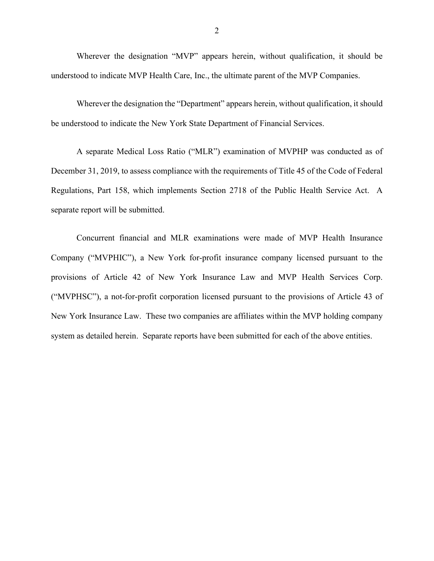Wherever the designation "MVP" appears herein, without qualification, it should be understood to indicate MVP Health Care, Inc., the ultimate parent of the MVP Companies.

Wherever the designation the "Department" appears herein, without qualification, it should be understood to indicate the New York State Department of Financial Services.

A separate Medical Loss Ratio ("MLR") examination of MVPHP was conducted as of December 31, 2019, to assess compliance with the requirements of Title 45 of the Code of Federal Regulations, Part 158, which implements Section 2718 of the Public Health Service Act. A separate report will be submitted.

Concurrent financial and MLR examinations were made of MVP Health Insurance Company ("MVPHIC"), a New York for-profit insurance company licensed pursuant to the provisions of Article 42 of New York Insurance Law and MVP Health Services Corp. ("MVPHSC"), a not-for-profit corporation licensed pursuant to the provisions of Article 43 of New York Insurance Law. These two companies are affiliates within the MVP holding company system as detailed herein. Separate reports have been submitted for each of the above entities.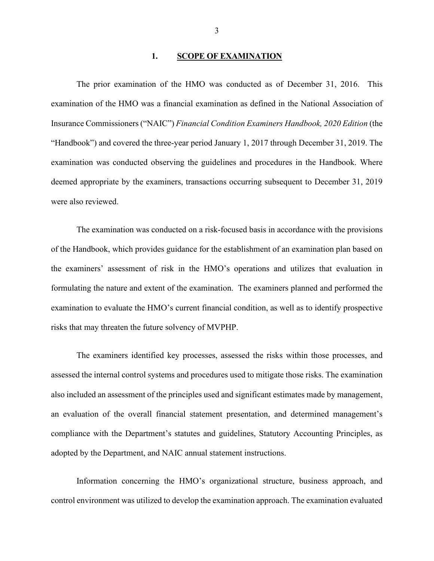#### **1. SCOPE OF EXAMINATION**

The prior examination of the HMO was conducted as of December 31, 2016. This examination of the HMO was a financial examination as defined in the National Association of Insurance Commissioners ("NAIC") *Financial Condition Examiners Handbook, 2020 Edition* (the "Handbook") and covered the three-year period January 1, 2017 through December 31, 2019. The examination was conducted observing the guidelines and procedures in the Handbook. Where deemed appropriate by the examiners, transactions occurring subsequent to December 31, 2019 were also reviewed.

 The examination was conducted on a risk-focused basis in accordance with the provisions of the Handbook, which provides guidance for the establishment of an examination plan based on the examiners' assessment of risk in the HMO's operations and utilizes that evaluation in formulating the nature and extent of the examination. The examiners planned and performed the examination to evaluate the HMO's current financial condition, as well as to identify prospective risks that may threaten the future solvency of MVPHP.

The examiners identified key processes, assessed the risks within those processes, and assessed the internal control systems and procedures used to mitigate those risks. The examination also included an assessment of the principles used and significant estimates made by management, an evaluation of the overall financial statement presentation, and determined management's compliance with the Department's statutes and guidelines, Statutory Accounting Principles, as adopted by the Department, and NAIC annual statement instructions.

Information concerning the HMO's organizational structure, business approach, and control environment was utilized to develop the examination approach. The examination evaluated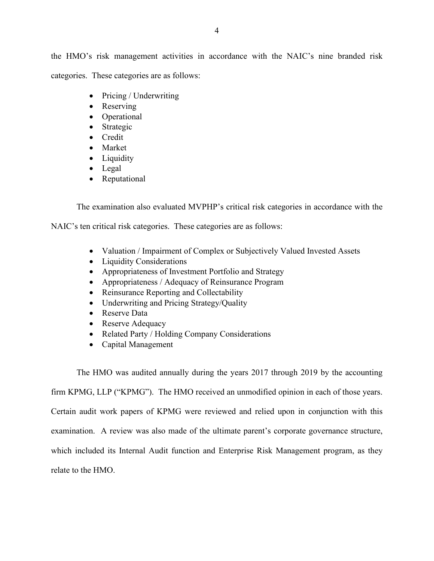the HMO's risk management activities in accordance with the NAIC's nine branded risk categories. These categories are as follows:

- Pricing / Underwriting
- Reserving
- Operational
- Strategic
- Credit
- Market
- Liquidity
- Legal
- Reputational

The examination also evaluated MVPHP's critical risk categories in accordance with the

NAIC's ten critical risk categories. These categories are as follows:

- Valuation / Impairment of Complex or Subjectively Valued Invested Assets
- Liquidity Considerations
- Appropriateness of Investment Portfolio and Strategy
- Appropriateness / Adequacy of Reinsurance Program
- Reinsurance Reporting and Collectability
- Underwriting and Pricing Strategy/Quality
- Reserve Data
- Reserve Adequacy
- Related Party / Holding Company Considerations
- Capital Management

The HMO was audited annually during the years 2017 through 2019 by the accounting

firm KPMG, LLP ("KPMG"). The HMO received an unmodified opinion in each of those years.

Certain audit work papers of KPMG were reviewed and relied upon in conjunction with this

examination. A review was also made of the ultimate parent's corporate governance structure,

which included its Internal Audit function and Enterprise Risk Management program, as they

relate to the HMO.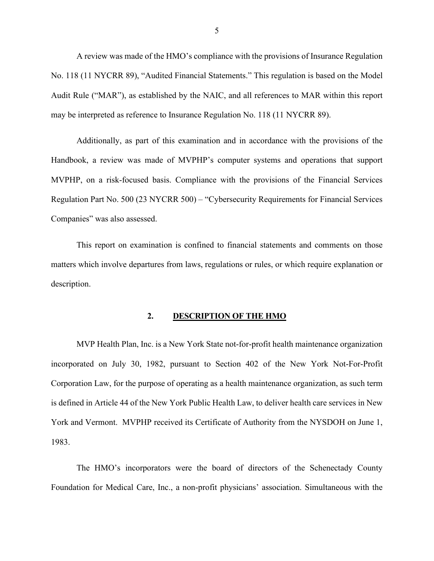A review was made of the HMO's compliance with the provisions of Insurance Regulation No. 118 (11 NYCRR 89), "Audited Financial Statements." This regulation is based on the Model Audit Rule ("MAR"), as established by the NAIC, and all references to MAR within this report may be interpreted as reference to Insurance Regulation No. 118 (11 NYCRR 89).

Additionally, as part of this examination and in accordance with the provisions of the Handbook, a review was made of MVPHP's computer systems and operations that support MVPHP, on a risk-focused basis. Compliance with the provisions of the Financial Services Regulation Part No. 500 (23 NYCRR 500) – "Cybersecurity Requirements for Financial Services Companies" was also assessed.

This report on examination is confined to financial statements and comments on those matters which involve departures from laws, regulations or rules, or which require explanation or description.

#### **2. DESCRIPTION OF THE HMO**

MVP Health Plan, Inc. is a New York State not-for-profit health maintenance organization incorporated on July 30, 1982, pursuant to Section 402 of the New York Not-For-Profit Corporation Law, for the purpose of operating as a health maintenance organization, as such term is defined in Article 44 of the New York Public Health Law, to deliver health care services in New York and Vermont. MVPHP received its Certificate of Authority from the NYSDOH on June 1, 1983.

The HMO's incorporators were the board of directors of the Schenectady County Foundation for Medical Care, Inc., a non-profit physicians' association. Simultaneous with the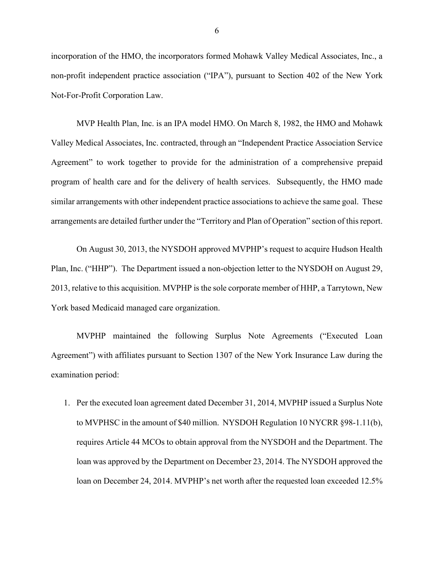incorporation of the HMO, the incorporators formed Mohawk Valley Medical Associates, Inc., a non-profit independent practice association ("IPA"), pursuant to Section 402 of the New York Not-For-Profit Corporation Law.

MVP Health Plan, Inc. is an IPA model HMO. On March 8, 1982, the HMO and Mohawk Valley Medical Associates, Inc. contracted, through an "Independent Practice Association Service Agreement" to work together to provide for the administration of a comprehensive prepaid program of health care and for the delivery of health services. Subsequently, the HMO made similar arrangements with other independent practice associations to achieve the same goal. These arrangements are detailed further under the "Territory and Plan of Operation" section of this report.

On August 30, 2013, the NYSDOH approved MVPHP's request to acquire Hudson Health Plan, Inc. ("HHP"). The Department issued a non-objection letter to the NYSDOH on August 29, 2013, relative to this acquisition. MVPHP is the sole corporate member of HHP, a Tarrytown, New York based Medicaid managed care organization.

MVPHP maintained the following Surplus Note Agreements ("Executed Loan Agreement") with affiliates pursuant to Section 1307 of the New York Insurance Law during the examination period:

1. Per the executed loan agreement dated December 31, 2014, MVPHP issued a Surplus Note to MVPHSC in the amount of \$40 million. NYSDOH Regulation 10 NYCRR §98-1.11(b), requires Article 44 MCOs to obtain approval from the NYSDOH and the Department. The loan was approved by the Department on December 23, 2014. The NYSDOH approved the loan on December 24, 2014. MVPHP's net worth after the requested loan exceeded 12.5%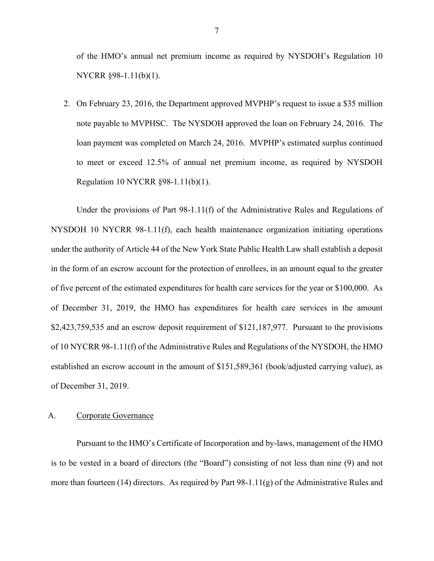of the HMO's annual net premium income as required by NYSDOH's Regulation 10 NYCRR §98-1.11(b)(1).

2. On February 23, 2016, the Department approved MVPHP's request to issue a \$35 million note payable to MVPHSC. The NYSDOH approved the loan on February 24, 2016. The loan payment was completed on March 24, 2016. MVPHP's estimated surplus continued to meet or exceed 12.5% of annual net premium income, as required by NYSDOH Regulation 10 NYCRR §98-1.11(b)(1).

Under the provisions of Part 98-1.11(f) of the Administrative Rules and Regulations of NYSDOH 10 NYCRR 98-1.11(f), each health maintenance organization initiating operations under the authority of Article 44 of the New York State Public Health Law shall establish a deposit in the form of an escrow account for the protection of enrollees, in an amount equal to the greater of five percent of the estimated expenditures for health care services for the year or \$100,000. As of December 31, 2019, the HMO has expenditures for health care services in the amount \$2,423,759,535 and an escrow deposit requirement of \$121,187,977. Pursuant to the provisions of 10 NYCRR 98-1.11(f) of the Administrative Rules and Regulations of the NYSDOH, the HMO established an escrow account in the amount of \$151,589,361 (book/adjusted carrying value), as of December 31, 2019.

#### A. Corporate Governance

Pursuant to the HMO's Certificate of Incorporation and by-laws, management of the HMO is to be vested in a board of directors (the "Board") consisting of not less than nine (9) and not more than fourteen (14) directors. As required by Part 98-1.11(g) of the Administrative Rules and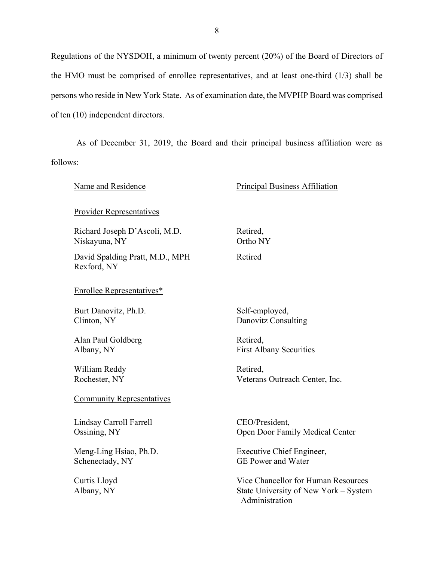Regulations of the NYSDOH, a minimum of twenty percent (20%) of the Board of Directors of the HMO must be comprised of enrollee representatives, and at least one-third (1/3) shall be persons who reside in New York State. As of examination date, the MVPHP Board was comprised of ten (10) independent directors.

As of December 31, 2019, the Board and their principal business affiliation were as follows:

| Name and Residence                             | Principal Business Affiliation                                                                 |  |
|------------------------------------------------|------------------------------------------------------------------------------------------------|--|
| <b>Provider Representatives</b>                |                                                                                                |  |
| Richard Joseph D'Ascoli, M.D.                  | Retired,                                                                                       |  |
| Niskayuna, NY                                  | Ortho NY                                                                                       |  |
| David Spalding Pratt, M.D., MPH<br>Rexford, NY | Retired                                                                                        |  |
| <b>Enrollee Representatives*</b>               |                                                                                                |  |
| Burt Danovitz, Ph.D.                           | Self-employed,                                                                                 |  |
| Clinton, NY                                    | Danovitz Consulting                                                                            |  |
| Alan Paul Goldberg                             | Retired,                                                                                       |  |
| Albany, NY                                     | <b>First Albany Securities</b>                                                                 |  |
| William Reddy                                  | Retired,                                                                                       |  |
| Rochester, NY                                  | Veterans Outreach Center, Inc.                                                                 |  |
| <b>Community Representatives</b>               |                                                                                                |  |
| Lindsay Carroll Farrell                        | CEO/President,                                                                                 |  |
| Ossining, NY                                   | Open Door Family Medical Center                                                                |  |
| Meng-Ling Hsiao, Ph.D.                         | Executive Chief Engineer,                                                                      |  |
| Schenectady, NY                                | <b>GE Power and Water</b>                                                                      |  |
| Curtis Lloyd<br>Albany, NY                     | Vice Chancellor for Human Resources<br>State University of New York – System<br>Administration |  |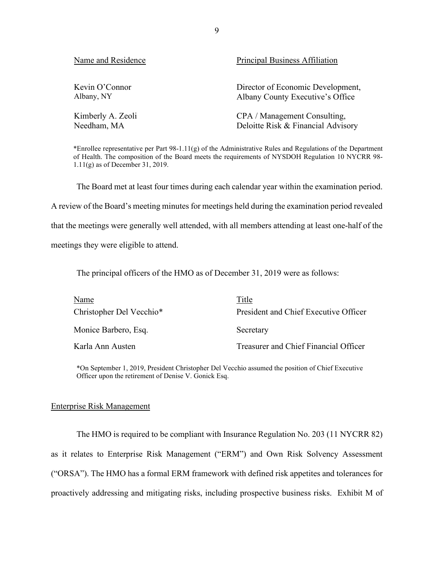| Name and Residence | Principal Business Affiliation     |
|--------------------|------------------------------------|
| Kevin O'Connor     | Director of Economic Development,  |
| Albany, NY         | Albany County Executive's Office   |
| Kimberly A. Zeoli  | CPA / Management Consulting,       |
| Needham, MA        | Deloitte Risk & Financial Advisory |

\*Enrollee representative per Part 98-1.11(g) of the Administrative Rules and Regulations of the Department of Health. The composition of the Board meets the requirements of NYSDOH Regulation 10 NYCRR 98- 1.11(g) as of December 31, 2019.

The Board met at least four times during each calendar year within the examination period. A review of the Board's meeting minutes for meetings held during the examination period revealed that the meetings were generally well attended, with all members attending at least one-half of the meetings they were eligible to attend.

The principal officers of the HMO as of December 31, 2019 were as follows:

| Name                     | Title                                 |
|--------------------------|---------------------------------------|
| Christopher Del Vecchio* | President and Chief Executive Officer |
| Monice Barbero, Esq.     | Secretary                             |
| Karla Ann Austen         | Treasurer and Chief Financial Officer |

\*On September 1, 2019, President Christopher Del Vecchio assumed the position of Chief Executive Officer upon the retirement of Denise V. Gonick Esq.

#### Enterprise Risk Management

The HMO is required to be compliant with Insurance Regulation No. 203 (11 NYCRR 82) as it relates to Enterprise Risk Management ("ERM") and Own Risk Solvency Assessment ("ORSA"). The HMO has a formal ERM framework with defined risk appetites and tolerances for proactively addressing and mitigating risks, including prospective business risks. Exhibit M of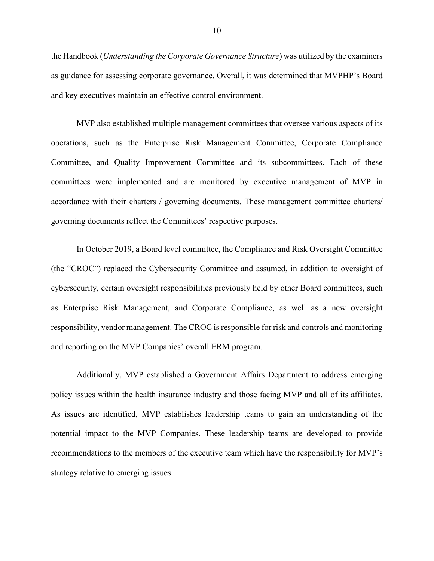the Handbook (*Understanding the Corporate Governance Structure*) was utilized by the examiners as guidance for assessing corporate governance. Overall, it was determined that MVPHP's Board and key executives maintain an effective control environment.

MVP also established multiple management committees that oversee various aspects of its operations, such as the Enterprise Risk Management Committee, Corporate Compliance Committee, and Quality Improvement Committee and its subcommittees. Each of these committees were implemented and are monitored by executive management of MVP in accordance with their charters / governing documents. These management committee charters/ governing documents reflect the Committees' respective purposes.

In October 2019, a Board level committee, the Compliance and Risk Oversight Committee (the "CROC") replaced the Cybersecurity Committee and assumed, in addition to oversight of cybersecurity, certain oversight responsibilities previously held by other Board committees, such as Enterprise Risk Management, and Corporate Compliance, as well as a new oversight responsibility, vendor management. The CROC is responsible for risk and controls and monitoring and reporting on the MVP Companies' overall ERM program.

Additionally, MVP established a Government Affairs Department to address emerging policy issues within the health insurance industry and those facing MVP and all of its affiliates. As issues are identified, MVP establishes leadership teams to gain an understanding of the potential impact to the MVP Companies. These leadership teams are developed to provide recommendations to the members of the executive team which have the responsibility for MVP's strategy relative to emerging issues.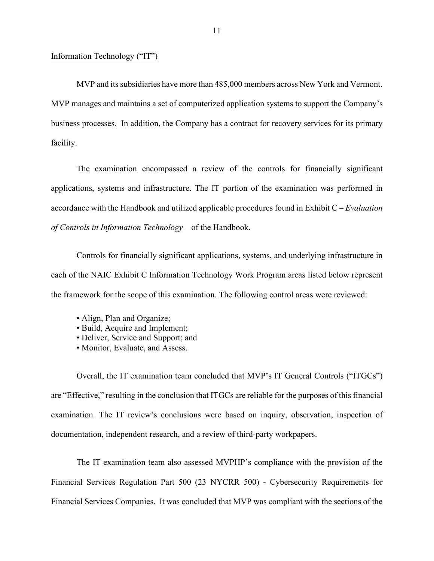#### Information Technology ("IT")

MVP and its subsidiaries have more than 485,000 members across New York and Vermont. MVP manages and maintains a set of computerized application systems to support the Company's business processes. In addition, the Company has a contract for recovery services for its primary facility.

The examination encompassed a review of the controls for financially significant applications, systems and infrastructure. The IT portion of the examination was performed in accordance with the Handbook and utilized applicable procedures found in Exhibit C – *Evaluation of Controls in Information Technology* – of the Handbook.

Controls for financially significant applications, systems, and underlying infrastructure in each of the NAIC Exhibit C Information Technology Work Program areas listed below represent the framework for the scope of this examination. The following control areas were reviewed:

- Align, Plan and Organize;
- Build, Acquire and Implement;
- Deliver, Service and Support; and
- Monitor, Evaluate, and Assess.

Overall, the IT examination team concluded that MVP's IT General Controls ("ITGCs") are "Effective," resulting in the conclusion that ITGCs are reliable for the purposes of this financial examination. The IT review's conclusions were based on inquiry, observation, inspection of documentation, independent research, and a review of third-party workpapers.

The IT examination team also assessed MVPHP's compliance with the provision of the Financial Services Regulation Part 500 (23 NYCRR 500) - Cybersecurity Requirements for Financial Services Companies. It was concluded that MVP was compliant with the sections of the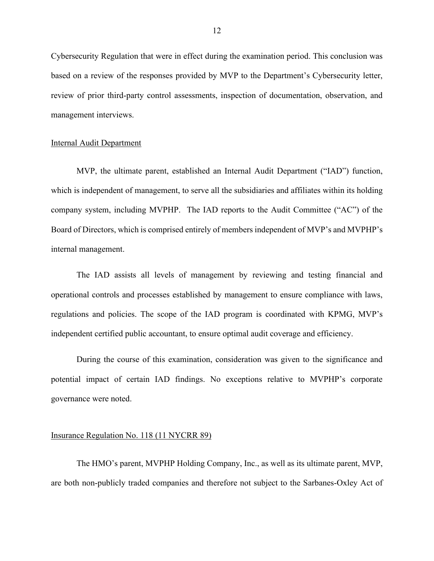Cybersecurity Regulation that were in effect during the examination period. This conclusion was based on a review of the responses provided by MVP to the Department's Cybersecurity letter, review of prior third-party control assessments, inspection of documentation, observation, and management interviews.

#### Internal Audit Department

MVP, the ultimate parent, established an Internal Audit Department ("IAD") function, which is independent of management, to serve all the subsidiaries and affiliates within its holding company system, including MVPHP. The IAD reports to the Audit Committee ("AC") of the Board of Directors, which is comprised entirely of members independent of MVP's and MVPHP's internal management.

The IAD assists all levels of management by reviewing and testing financial and operational controls and processes established by management to ensure compliance with laws, regulations and policies. The scope of the IAD program is coordinated with KPMG, MVP's independent certified public accountant, to ensure optimal audit coverage and efficiency.

During the course of this examination, consideration was given to the significance and potential impact of certain IAD findings. No exceptions relative to MVPHP's corporate governance were noted.

#### Insurance Regulation No. 118 (11 NYCRR 89)

The HMO's parent, MVPHP Holding Company, Inc., as well as its ultimate parent, MVP, are both non-publicly traded companies and therefore not subject to the Sarbanes-Oxley Act of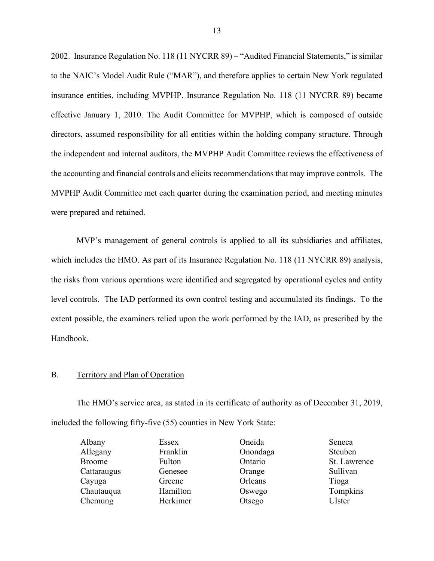2002. Insurance Regulation No. 118 (11 NYCRR 89) – "Audited Financial Statements," is similar to the NAIC's Model Audit Rule ("MAR"), and therefore applies to certain New York regulated insurance entities, including MVPHP. Insurance Regulation No. 118 (11 NYCRR 89) became effective January 1, 2010. The Audit Committee for MVPHP, which is composed of outside directors, assumed responsibility for all entities within the holding company structure. Through the independent and internal auditors, the MVPHP Audit Committee reviews the effectiveness of the accounting and financial controls and elicits recommendations that may improve controls. The MVPHP Audit Committee met each quarter during the examination period, and meeting minutes were prepared and retained.

MVP's management of general controls is applied to all its subsidiaries and affiliates, which includes the HMO. As part of its Insurance Regulation No. 118 (11 NYCRR 89) analysis, the risks from various operations were identified and segregated by operational cycles and entity level controls. The IAD performed its own control testing and accumulated its findings. To the extent possible, the examiners relied upon the work performed by the IAD, as prescribed by the Handbook.

#### B. Territory and Plan of Operation

The HMO's service area, as stated in its certificate of authority as of December 31, 2019, included the following fifty-five (55) counties in New York State:

| Albany        | Essex    | Oneida   | Seneca       |
|---------------|----------|----------|--------------|
| Allegany      | Franklin | Onondaga | Steuben      |
| <b>Broome</b> | Fulton   | Ontario  | St. Lawrence |
| Cattaraugus   | Genesee  | Orange   | Sullivan     |
| Cayuga        | Greene   | Orleans  | Tioga        |
| Chautauqua    | Hamilton | Oswego   | Tompkins     |
| Chemung       | Herkimer | Otsego   | Ulster       |
|               |          |          |              |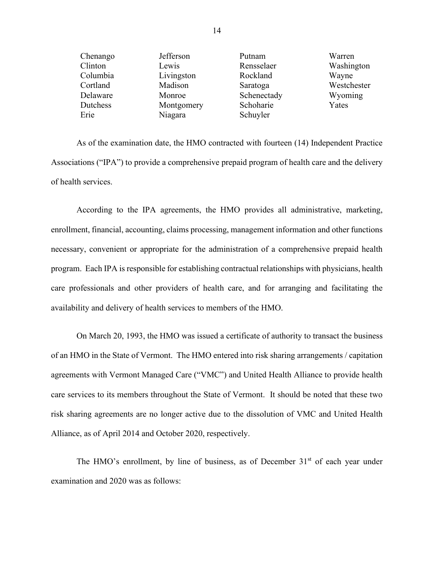| Chenango | Jefferson  | Putnam      | Warren      |
|----------|------------|-------------|-------------|
| Clinton  | Lewis      | Rensselaer  | Washington  |
| Columbia | Livingston | Rockland    | Wayne       |
| Cortland | Madison    | Saratoga    | Westchester |
| Delaware | Monroe     | Schenectady | Wyoming     |
| Dutchess | Montgomery | Schoharie   | Yates       |
| Erie     | Niagara    | Schuyler    |             |

As of the examination date, the HMO contracted with fourteen (14) Independent Practice Associations ("IPA") to provide a comprehensive prepaid program of health care and the delivery of health services.

According to the IPA agreements, the HMO provides all administrative, marketing, enrollment, financial, accounting, claims processing, management information and other functions necessary, convenient or appropriate for the administration of a comprehensive prepaid health program. Each IPA is responsible for establishing contractual relationships with physicians, health care professionals and other providers of health care, and for arranging and facilitating the availability and delivery of health services to members of the HMO.

On March 20, 1993, the HMO was issued a certificate of authority to transact the business of an HMO in the State of Vermont. The HMO entered into risk sharing arrangements / capitation agreements with Vermont Managed Care ("VMC") and United Health Alliance to provide health care services to its members throughout the State of Vermont. It should be noted that these two risk sharing agreements are no longer active due to the dissolution of VMC and United Health Alliance, as of April 2014 and October 2020, respectively.

The HMO's enrollment, by line of business, as of December  $31<sup>st</sup>$  of each year under examination and 2020 was as follows:

14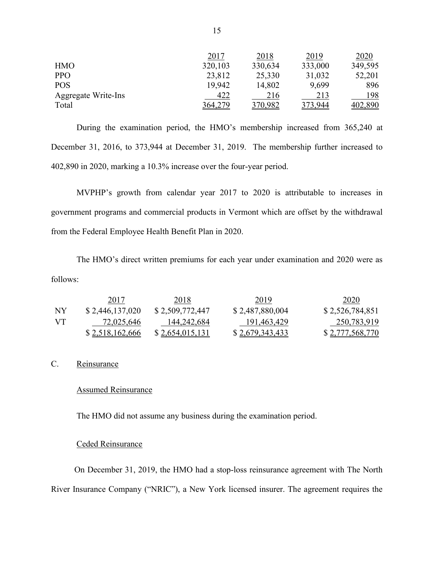|                     | 2017    | 2018    | 2019    | 2020    |
|---------------------|---------|---------|---------|---------|
| <b>HMO</b>          | 320,103 | 330,634 | 333,000 | 349,595 |
| <b>PPO</b>          | 23,812  | 25,330  | 31,032  | 52,201  |
| <b>POS</b>          | 19,942  | 14,802  | 9,699   | 896     |
| Aggregate Write-Ins | 422     | 216     | 213     | 198     |
| Total               | 364,279 | 370,982 | 373.944 | 402,890 |

During the examination period, the HMO's membership increased from 365,240 at December 31, 2016, to 373,944 at December 31, 2019. The membership further increased to 402,890 in 2020, marking a 10.3% increase over the four-year period.

MVPHP's growth from calendar year 2017 to 2020 is attributable to increases in government programs and commercial products in Vermont which are offset by the withdrawal from the Federal Employee Health Benefit Plan in 2020.

The HMO's direct written premiums for each year under examination and 2020 were as follows:

|           | 2017            | 2018            | 2019            | 2020            |
|-----------|-----------------|-----------------|-----------------|-----------------|
| <b>NY</b> | \$2,446,137,020 | \$2,509,772,447 | \$2,487,880,004 | \$2,526,784,851 |
| -VT       | 72,025,646      | 144,242,684     | 191,463,429     | 250,783,919     |
|           | \$2,518,162,666 | \$2,654,015,131 | \$2,679,343,433 | \$2,777,568,770 |

#### C. Reinsurance

#### Assumed Reinsurance

The HMO did not assume any business during the examination period.

#### Ceded Reinsurance

 On December 31, 2019, the HMO had a stop-loss reinsurance agreement with The North River Insurance Company ("NRIC"), a New York licensed insurer. The agreement requires the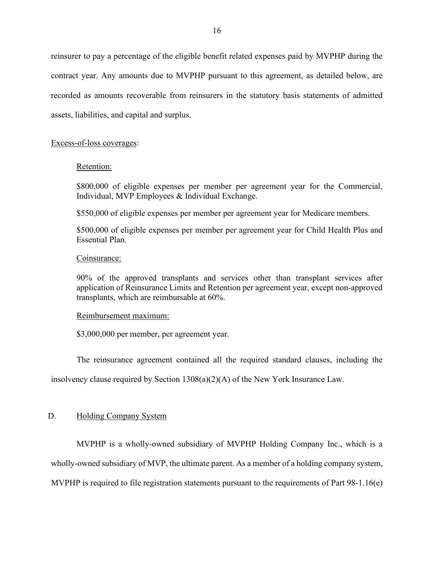reinsurer to pay a percentage of the eligible benefit related expenses paid by MVPHP during the contract year. Any amounts due to MVPHP pursuant to this agreement, as detailed below, are recorded as amounts recoverable from reinsurers in the statutory basis statements of admitted assets, liabilities, and capital and surplus.

#### Excess-of-loss coverages:

#### Retention:

\$800,000 of eligible expenses per member per agreement year for the Commercial, Individual, MVP Employees & Individual Exchange.

\$550,000 of eligible expenses per member per agreement year for Medicare members.

\$500,000 of eligible expenses per member per agreement year for Child Health Plus and Essential Plan.

#### Coinsurance:

90% of the approved transplants and services other than transplant services after application of Reinsurance Limits and Retention per agreement year, except non-approved transplants, which are reimbursable at 60%.

#### Reimbursement maximum:

\$3,000,000 per member, per agreement year.

The reinsurance agreement contained all the required standard clauses, including the

insolvency clause required by Section  $1308(a)(2)(A)$  of the New York Insurance Law.

#### D. Holding Company System

MVPHP is a wholly-owned subsidiary of MVPHP Holding Company Inc., which is a wholly-owned subsidiary of MVP, the ultimate parent. As a member of a holding company system, MVPHP is required to file registration statements pursuant to the requirements of Part 98-1.16(e)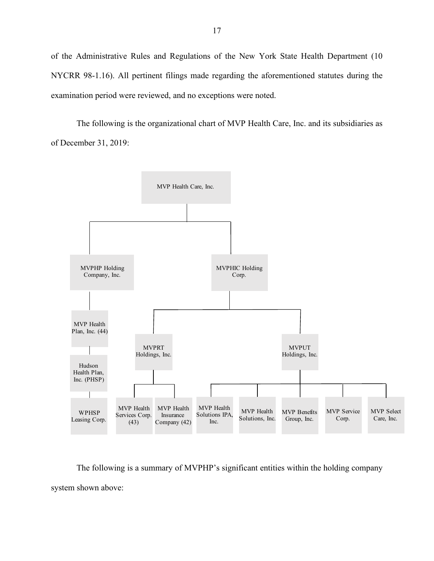of the Administrative Rules and Regulations of the New York State Health Department (10 NYCRR 98-1.16). All pertinent filings made regarding the aforementioned statutes during the examination period were reviewed, and no exceptions were noted.

The following is the organizational chart of MVP Health Care, Inc. and its subsidiaries as of December 31, 2019:



The following is a summary of MVPHP's significant entities within the holding company system shown above: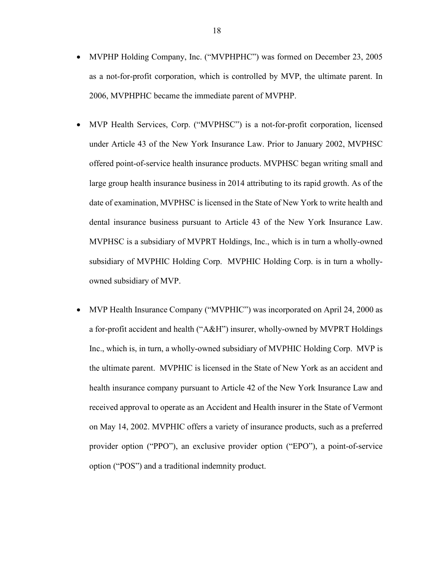- MVPHP Holding Company, Inc. ("MVPHPHC") was formed on December 23, 2005 as a not-for-profit corporation, which is controlled by MVP, the ultimate parent. In 2006, MVPHPHC became the immediate parent of MVPHP.
- MVP Health Services, Corp. ("MVPHSC") is a not-for-profit corporation, licensed under Article 43 of the New York Insurance Law. Prior to January 2002, MVPHSC offered point-of-service health insurance products. MVPHSC began writing small and large group health insurance business in 2014 attributing to its rapid growth. As of the date of examination, MVPHSC is licensed in the State of New York to write health and dental insurance business pursuant to Article 43 of the New York Insurance Law. MVPHSC is a subsidiary of MVPRT Holdings, Inc., which is in turn a wholly-owned subsidiary of MVPHIC Holding Corp. MVPHIC Holding Corp. is in turn a whollyowned subsidiary of MVP.
- MVP Health Insurance Company ("MVPHIC") was incorporated on April 24, 2000 as a for-profit accident and health ("A&H") insurer, wholly-owned by MVPRT Holdings Inc., which is, in turn, a wholly-owned subsidiary of MVPHIC Holding Corp. MVP is the ultimate parent. MVPHIC is licensed in the State of New York as an accident and health insurance company pursuant to Article 42 of the New York Insurance Law and received approval to operate as an Accident and Health insurer in the State of Vermont on May 14, 2002. MVPHIC offers a variety of insurance products, such as a preferred provider option ("PPO"), an exclusive provider option ("EPO"), a point-of-service option ("POS") and a traditional indemnity product.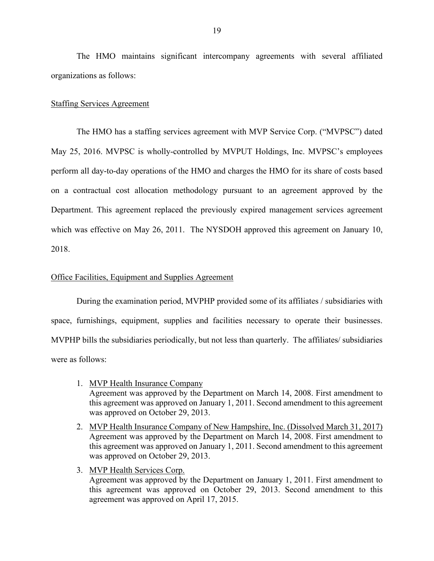The HMO maintains significant intercompany agreements with several affiliated organizations as follows:

#### Staffing Services Agreement

The HMO has a staffing services agreement with MVP Service Corp. ("MVPSC") dated May 25, 2016. MVPSC is wholly-controlled by MVPUT Holdings, Inc. MVPSC's employees perform all day-to-day operations of the HMO and charges the HMO for its share of costs based on a contractual cost allocation methodology pursuant to an agreement approved by the Department. This agreement replaced the previously expired management services agreement which was effective on May 26, 2011. The NYSDOH approved this agreement on January 10, 2018.

#### Office Facilities, Equipment and Supplies Agreement

During the examination period, MVPHP provided some of its affiliates / subsidiaries with space, furnishings, equipment, supplies and facilities necessary to operate their businesses. MVPHP bills the subsidiaries periodically, but not less than quarterly. The affiliates/ subsidiaries were as follows:

- 1. MVP Health Insurance Company Agreement was approved by the Department on March 14, 2008. First amendment to this agreement was approved on January 1, 2011. Second amendment to this agreement was approved on October 29, 2013.
- 2. MVP Health Insurance Company of New Hampshire, Inc. (Dissolved March 31, 2017) Agreement was approved by the Department on March 14, 2008. First amendment to this agreement was approved on January 1, 2011. Second amendment to this agreement was approved on October 29, 2013.
- 3. MVP Health Services Corp.

Agreement was approved by the Department on January 1, 2011. First amendment to this agreement was approved on October 29, 2013. Second amendment to this agreement was approved on April 17, 2015.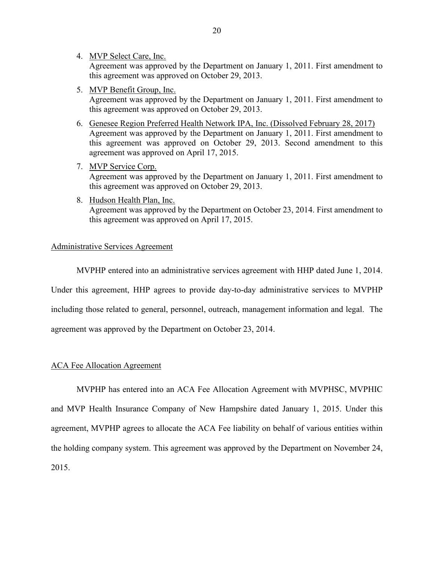4. MVP Select Care, Inc.

Agreement was approved by the Department on January 1, 2011. First amendment to this agreement was approved on October 29, 2013.

5. MVP Benefit Group, Inc.

Agreement was approved by the Department on January 1, 2011. First amendment to this agreement was approved on October 29, 2013.

- 6. Genesee Region Preferred Health Network IPA, Inc. (Dissolved February 28, 2017) Agreement was approved by the Department on January 1, 2011. First amendment to this agreement was approved on October 29, 2013. Second amendment to this agreement was approved on April 17, 2015.
- 7. MVP Service Corp. Agreement was approved by the Department on January 1, 2011. First amendment to this agreement was approved on October 29, 2013.
- 8. Hudson Health Plan, Inc. Agreement was approved by the Department on October 23, 2014. First amendment to this agreement was approved on April 17, 2015.

#### Administrative Services Agreement

MVPHP entered into an administrative services agreement with HHP dated June 1, 2014.

Under this agreement, HHP agrees to provide day-to-day administrative services to MVPHP

including those related to general, personnel, outreach, management information and legal. The

agreement was approved by the Department on October 23, 2014.

#### ACA Fee Allocation Agreement

MVPHP has entered into an ACA Fee Allocation Agreement with MVPHSC, MVPHIC and MVP Health Insurance Company of New Hampshire dated January 1, 2015. Under this agreement, MVPHP agrees to allocate the ACA Fee liability on behalf of various entities within the holding company system. This agreement was approved by the Department on November 24, 2015.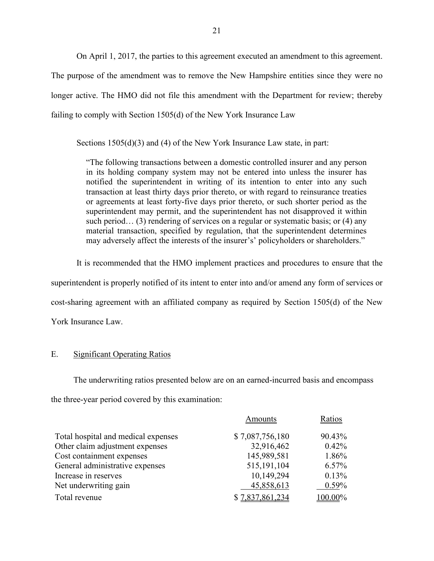On April 1, 2017, the parties to this agreement executed an amendment to this agreement. The purpose of the amendment was to remove the New Hampshire entities since they were no longer active. The HMO did not file this amendment with the Department for review; thereby failing to comply with Section 1505(d) of the New York Insurance Law

Sections 1505(d)(3) and (4) of the New York Insurance Law state, in part:

"The following transactions between a domestic controlled insurer and any person in its holding company system may not be entered into unless the insurer has notified the superintendent in writing of its intention to enter into any such transaction at least thirty days prior thereto, or with regard to reinsurance treaties or agreements at least forty-five days prior thereto, or such shorter period as the superintendent may permit, and the superintendent has not disapproved it within such period... (3) rendering of services on a regular or systematic basis; or (4) any material transaction, specified by regulation, that the superintendent determines may adversely affect the interests of the insurer's' policyholders or shareholders."

It is recommended that the HMO implement practices and procedures to ensure that the superintendent is properly notified of its intent to enter into and/or amend any form of services or cost-sharing agreement with an affiliated company as required by Section 1505(d) of the New York Insurance Law.

#### E. Significant Operating Ratios

The underwriting ratios presented below are on an earned-incurred basis and encompass the three-year period covered by this examination:

|                                     | Amounts         | Ratios   |
|-------------------------------------|-----------------|----------|
| Total hospital and medical expenses | \$7,087,756,180 | 90.43%   |
| Other claim adjustment expenses     | 32,916,462      | $0.42\%$ |
| Cost containment expenses           | 145,989,581     | 1.86%    |
| General administrative expenses     | 515, 191, 104   | $6.57\%$ |
| Increase in reserves                | 10,149,294      | 0.13%    |
| Net underwriting gain               | 45,858,613      | $0.59\%$ |
| Total revenue                       | \$7,837,861,234 | 100.00%  |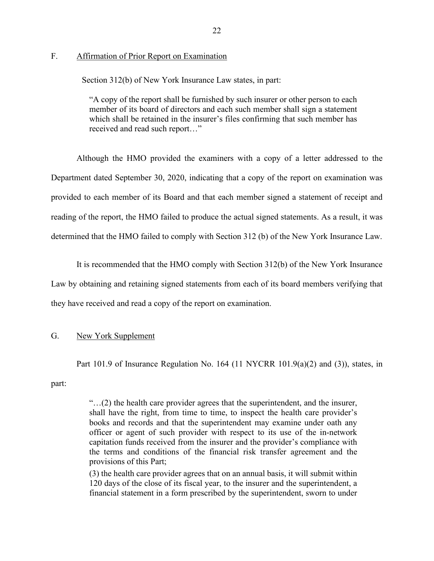#### F. Affirmation of Prior Report on Examination

Section 312(b) of New York Insurance Law states, in part:

"A copy of the report shall be furnished by such insurer or other person to each member of its board of directors and each such member shall sign a statement which shall be retained in the insurer's files confirming that such member has received and read such report…"

Although the HMO provided the examiners with a copy of a letter addressed to the Department dated September 30, 2020, indicating that a copy of the report on examination was provided to each member of its Board and that each member signed a statement of receipt and reading of the report, the HMO failed to produce the actual signed statements. As a result, it was determined that the HMO failed to comply with Section 312 (b) of the New York Insurance Law.

It is recommended that the HMO comply with Section 312(b) of the New York Insurance Law by obtaining and retaining signed statements from each of its board members verifying that they have received and read a copy of the report on examination.

#### G. New York Supplement

Part 101.9 of Insurance Regulation No. 164 (11 NYCRR 101.9(a)(2) and (3)), states, in

part:

"…(2) the health care provider agrees that the superintendent, and the insurer, shall have the right, from time to time, to inspect the health care provider's books and records and that the superintendent may examine under oath any officer or agent of such provider with respect to its use of the in-network capitation funds received from the insurer and the provider's compliance with the terms and conditions of the financial risk transfer agreement and the provisions of this Part;

(3) the health care provider agrees that on an annual basis, it will submit within 120 days of the close of its fiscal year, to the insurer and the superintendent, a financial statement in a form prescribed by the superintendent, sworn to under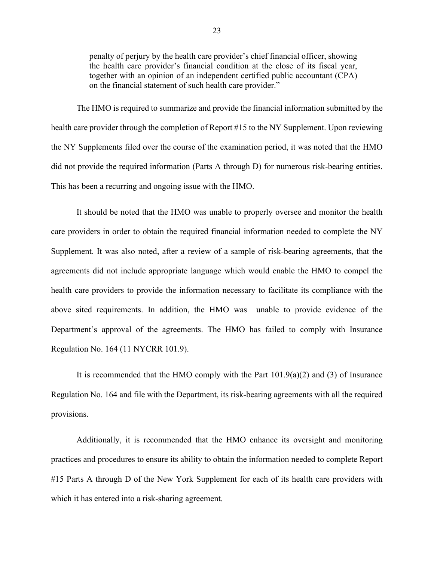penalty of perjury by the health care provider's chief financial officer, showing the health care provider's financial condition at the close of its fiscal year, together with an opinion of an independent certified public accountant (CPA) on the financial statement of such health care provider."

The HMO is required to summarize and provide the financial information submitted by the health care provider through the completion of Report #15 to the NY Supplement. Upon reviewing the NY Supplements filed over the course of the examination period, it was noted that the HMO did not provide the required information (Parts A through D) for numerous risk-bearing entities. This has been a recurring and ongoing issue with the HMO.

It should be noted that the HMO was unable to properly oversee and monitor the health care providers in order to obtain the required financial information needed to complete the NY Supplement. It was also noted, after a review of a sample of risk-bearing agreements, that the agreements did not include appropriate language which would enable the HMO to compel the health care providers to provide the information necessary to facilitate its compliance with the above sited requirements. In addition, the HMO was unable to provide evidence of the Department's approval of the agreements. The HMO has failed to comply with Insurance Regulation No. 164 (11 NYCRR 101.9).

It is recommended that the HMO comply with the Part  $101.9(a)(2)$  and  $(3)$  of Insurance Regulation No. 164 and file with the Department, its risk-bearing agreements with all the required provisions.

Additionally, it is recommended that the HMO enhance its oversight and monitoring practices and procedures to ensure its ability to obtain the information needed to complete Report #15 Parts A through D of the New York Supplement for each of its health care providers with which it has entered into a risk-sharing agreement.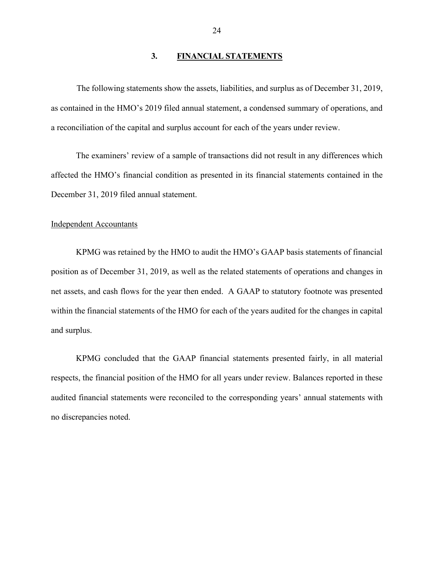#### **3. FINANCIAL STATEMENTS**

The following statements show the assets, liabilities, and surplus as of December 31, 2019, as contained in the HMO's 2019 filed annual statement, a condensed summary of operations, and a reconciliation of the capital and surplus account for each of the years under review.

The examiners' review of a sample of transactions did not result in any differences which affected the HMO's financial condition as presented in its financial statements contained in the December 31, 2019 filed annual statement.

#### Independent Accountants

KPMG was retained by the HMO to audit the HMO's GAAP basis statements of financial position as of December 31, 2019, as well as the related statements of operations and changes in net assets, and cash flows for the year then ended. A GAAP to statutory footnote was presented within the financial statements of the HMO for each of the years audited for the changes in capital and surplus.

KPMG concluded that the GAAP financial statements presented fairly, in all material respects, the financial position of the HMO for all years under review. Balances reported in these audited financial statements were reconciled to the corresponding years' annual statements with no discrepancies noted.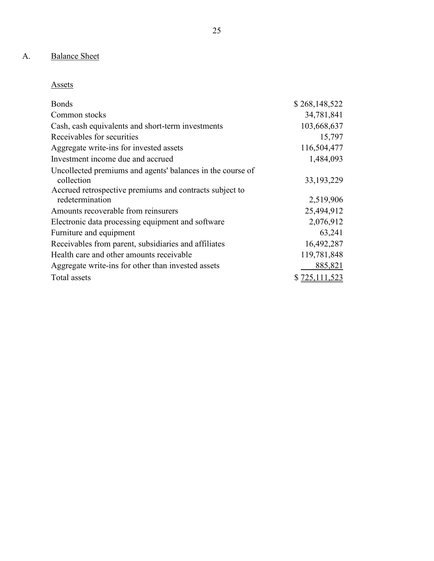## A. Balance Sheet

| Assets |  |
|--------|--|
|--------|--|

| <b>Bonds</b>                                               | \$268,148,522 |
|------------------------------------------------------------|---------------|
| Common stocks                                              | 34,781,841    |
| Cash, cash equivalents and short-term investments          | 103,668,637   |
| Receivables for securities                                 | 15,797        |
| Aggregate write-ins for invested assets                    | 116,504,477   |
| Investment income due and accrued                          | 1,484,093     |
| Uncollected premiums and agents' balances in the course of |               |
| collection                                                 | 33, 193, 229  |
| Accrued retrospective premiums and contracts subject to    |               |
| redetermination                                            | 2,519,906     |
| Amounts recoverable from reinsurers                        | 25,494,912    |
| Electronic data processing equipment and software          | 2,076,912     |
| Furniture and equipment                                    | 63,241        |
| Receivables from parent, subsidiaries and affiliates       | 16,492,287    |
| Health care and other amounts receivable                   | 119,781,848   |
| Aggregate write-ins for other than invested assets         | 885,821       |
| Total assets                                               | \$725,111,523 |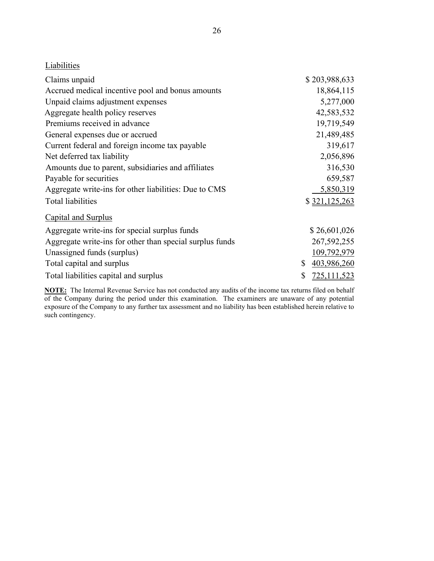## **Liabilities**

| Claims unpaid                                            | \$203,988,633     |
|----------------------------------------------------------|-------------------|
| Accrued medical incentive pool and bonus amounts         | 18,864,115        |
| Unpaid claims adjustment expenses                        | 5,277,000         |
| Aggregate health policy reserves                         | 42,583,532        |
| Premiums received in advance                             | 19,719,549        |
| General expenses due or accrued                          | 21,489,485        |
| Current federal and foreign income tax payable           | 319,617           |
| Net deferred tax liability                               | 2,056,896         |
| Amounts due to parent, subsidiaries and affiliates       | 316,530           |
| Payable for securities                                   | 659,587           |
| Aggregate write-ins for other liabilities: Due to CMS    | 5,850,319         |
| <b>Total liabilities</b>                                 | \$321,125,263     |
| Capital and Surplus                                      |                   |
| Aggregate write-ins for special surplus funds            | \$26,601,026      |
| Aggregate write-ins for other than special surplus funds | 267, 592, 255     |
| Unassigned funds (surplus)                               | 109,792,979       |
| Total capital and surplus                                | \$<br>403,986,260 |
| Total liabilities capital and surplus                    | \$<br>725,111,523 |

**NOTE:** The Internal Revenue Service has not conducted any audits of the income tax returns filed on behalf of the Company during the period under this examination. The examiners are unaware of any potential exposure of the Company to any further tax assessment and no liability has been established herein relative to such contingency.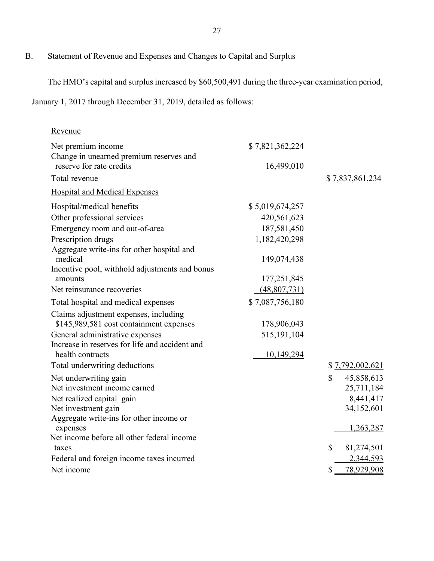B. Statement of Revenue and Expenses and Changes to Capital and Surplus

The HMO's capital and surplus increased by \$60,500,491 during the three-year examination period,

January 1, 2017 through December 31, 2019, detailed as follows:

| Revenue                                                       |                 |                            |
|---------------------------------------------------------------|-----------------|----------------------------|
| Net premium income<br>Change in unearned premium reserves and | \$7,821,362,224 |                            |
| reserve for rate credits                                      | 16,499,010      |                            |
| Total revenue                                                 |                 | \$7,837,861,234            |
| <b>Hospital and Medical Expenses</b>                          |                 |                            |
| Hospital/medical benefits                                     | \$5,019,674,257 |                            |
| Other professional services                                   | 420,561,623     |                            |
| Emergency room and out-of-area                                | 187,581,450     |                            |
| Prescription drugs                                            | 1,182,420,298   |                            |
| Aggregate write-ins for other hospital and                    |                 |                            |
| medical                                                       | 149,074,438     |                            |
| Incentive pool, withhold adjustments and bonus                |                 |                            |
| amounts                                                       | 177,251,845     |                            |
| Net reinsurance recoveries                                    | (48,807,731)    |                            |
| Total hospital and medical expenses                           | \$7,087,756,180 |                            |
| Claims adjustment expenses, including                         |                 |                            |
| \$145,989,581 cost containment expenses                       | 178,906,043     |                            |
| General administrative expenses                               | 515,191,104     |                            |
| Increase in reserves for life and accident and                |                 |                            |
| health contracts                                              | 10,149,294      |                            |
| Total underwriting deductions                                 |                 | \$7,792,002,621            |
| Net underwriting gain                                         |                 | $\mathbb{S}$<br>45,858,613 |
| Net investment income earned                                  |                 | 25,711,184                 |
| Net realized capital gain                                     |                 | 8,441,417                  |
| Net investment gain                                           |                 | 34,152,601                 |
| Aggregate write-ins for other income or                       |                 | 1,263,287                  |
| expenses<br>Net income before all other federal income        |                 |                            |
| taxes                                                         |                 | \$<br>81,274,501           |
| Federal and foreign income taxes incurred                     |                 | 2,344,593                  |
| Net income                                                    |                 | \$<br>78,929,908           |
|                                                               |                 |                            |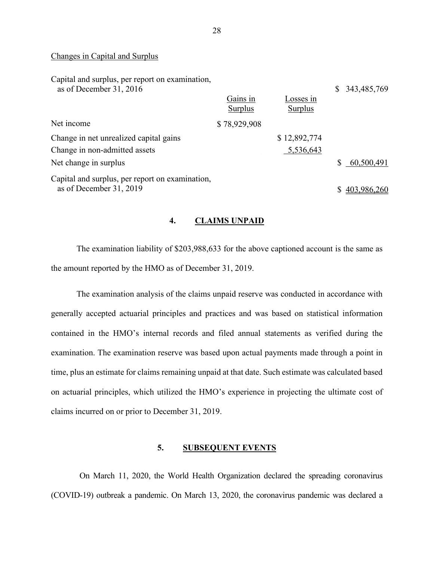#### Changes in Capital and Surplus

| Capital and surplus, per report on examination,<br>as of December 31, 2016 | Gains in     | Losses in    | \$343,485,769 |
|----------------------------------------------------------------------------|--------------|--------------|---------------|
|                                                                            | Surplus      | Surplus      |               |
| Net income                                                                 | \$78,929,908 |              |               |
| Change in net unrealized capital gains                                     |              | \$12,892,774 |               |
| Change in non-admitted assets                                              |              | 5,536,643    |               |
| Net change in surplus                                                      |              |              | \$60,500,491  |
| Capital and surplus, per report on examination,                            |              |              |               |
| as of December 31, 2019                                                    |              |              | 403,986,260   |

#### **4. CLAIMS UNPAID**

The examination liability of \$203,988,633 for the above captioned account is the same as the amount reported by the HMO as of December 31, 2019.

The examination analysis of the claims unpaid reserve was conducted in accordance with generally accepted actuarial principles and practices and was based on statistical information contained in the HMO's internal records and filed annual statements as verified during the examination. The examination reserve was based upon actual payments made through a point in time, plus an estimate for claims remaining unpaid at that date. Such estimate was calculated based on actuarial principles, which utilized the HMO's experience in projecting the ultimate cost of claims incurred on or prior to December 31, 2019.

#### **5. SUBSEQUENT EVENTS**

On March 11, 2020, the World Health Organization declared the spreading coronavirus (COVID-19) outbreak a pandemic. On March 13, 2020, the coronavirus pandemic was declared a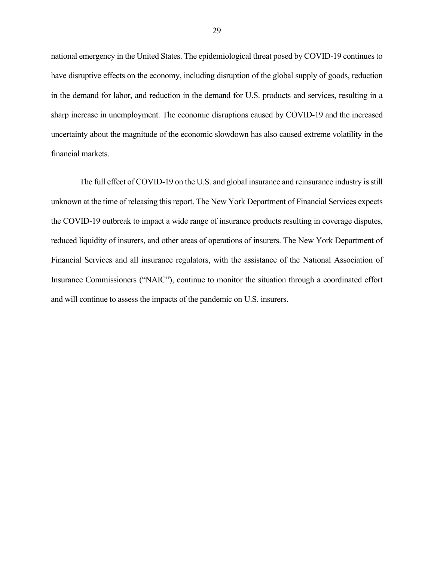national emergency in the United States. The epidemiological threat posed by COVID-19 continues to have disruptive effects on the economy, including disruption of the global supply of goods, reduction in the demand for labor, and reduction in the demand for U.S. products and services, resulting in a sharp increase in unemployment. The economic disruptions caused by COVID-19 and the increased uncertainty about the magnitude of the economic slowdown has also caused extreme volatility in the financial markets.

The full effect of COVID-19 on the U.S. and global insurance and reinsurance industry is still unknown at the time of releasing this report. The New York Department of Financial Services expects the COVID-19 outbreak to impact a wide range of insurance products resulting in coverage disputes, reduced liquidity of insurers, and other areas of operations of insurers. The New York Department of Financial Services and all insurance regulators, with the assistance of the National Association of Insurance Commissioners ("NAIC"), continue to monitor the situation through a coordinated effort and will continue to assess the impacts of the pandemic on U.S. insurers.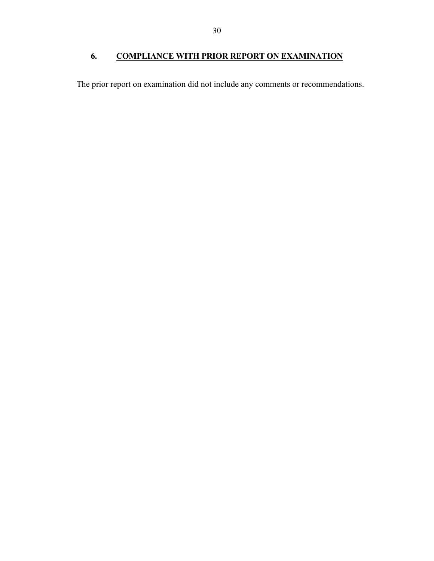## **6. COMPLIANCE WITH PRIOR REPORT ON EXAMINATION**

The prior report on examination did not include any comments or recommendations.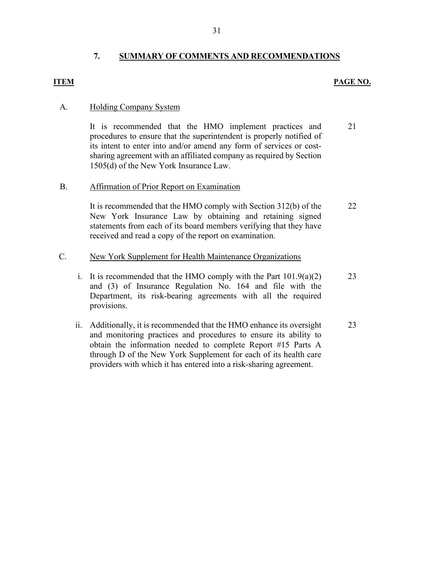### **7. SUMMARY OF COMMENTS AND RECOMMENDATIONS**

#### **ITEM PAGE NO.**

#### A. Holding Company System

It is recommended that the HMO implement practices and procedures to ensure that the superintendent is properly notified of its intent to enter into and/or amend any form of services or costsharing agreement with an affiliated company as required by Section 1505(d) of the New York Insurance Law. 21

#### B. Affirmation of Prior Report on Examination

It is recommended that the HMO comply with Section 312(b) of the New York Insurance Law by obtaining and retaining signed statements from each of its board members verifying that they have received and read a copy of the report on examination. 22

#### C. New York Supplement for Health Maintenance Organizations

- i. It is recommended that the HMO comply with the Part 101.9(a)(2) and (3) of Insurance Regulation No. 164 and file with the Department, its risk-bearing agreements with all the required provisions. 23
- ii. Additionally, it is recommended that the HMO enhance its oversight and monitoring practices and procedures to ensure its ability to obtain the information needed to complete Report #15 Parts A through D of the New York Supplement for each of its health care providers with which it has entered into a risk-sharing agreement. 23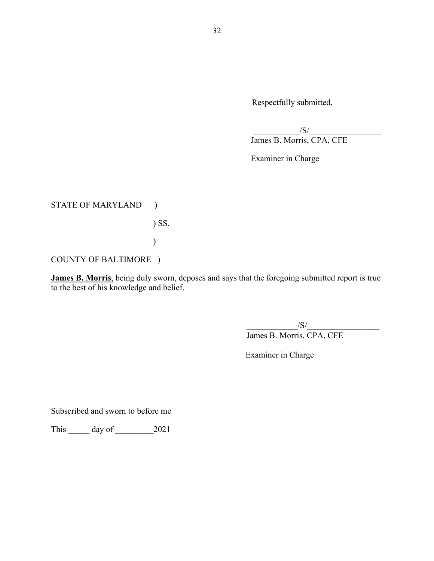Respectfully submitted,

 $\sqrt{S}/\sqrt{S}$ James B. Morris, CPA, CFE

Examiner in Charge

STATE OF MARYLAND )

) SS.

COUNTY OF BALTIMORE )

 $\overline{\phantom{a}}$ 

**James B. Morris**, being duly sworn, deposes and says that the foregoing submitted report is true to the best of his knowledge and belief.

 $\sqrt{S}/\sqrt{S}$ James B. Morris, CPA, CFE

Examiner in Charge

Subscribed and sworn to before me

This \_\_\_\_\_ day of \_\_\_\_\_\_\_\_\_2021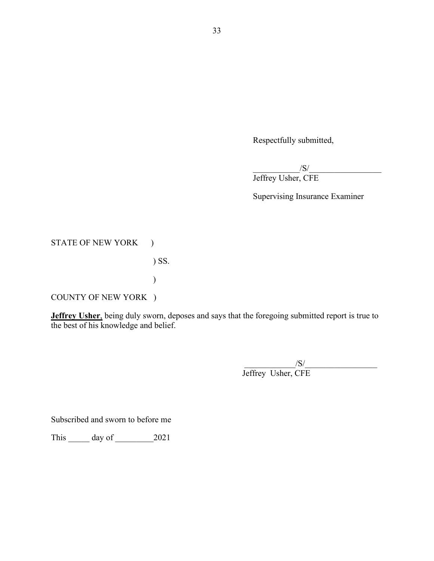Respectfully submitted,

 $\sqrt{S}/\sqrt{S}$ Jeffrey Usher, CFE

Supervising Insurance Examiner

STATE OF NEW YORK )

) SS.

COUNTY OF NEW YORK )

 $\overline{\phantom{a}}$ 

**Jeffrey Usher**, being duly sworn, deposes and says that the foregoing submitted report is true to the best of his knowledge and belief.

 $/\mathbf{S}/\mathbf{S}$ Jeffrey Usher, CFE

Subscribed and sworn to before me

This \_\_\_\_\_\_ day of \_\_\_\_\_\_\_\_\_ 2021